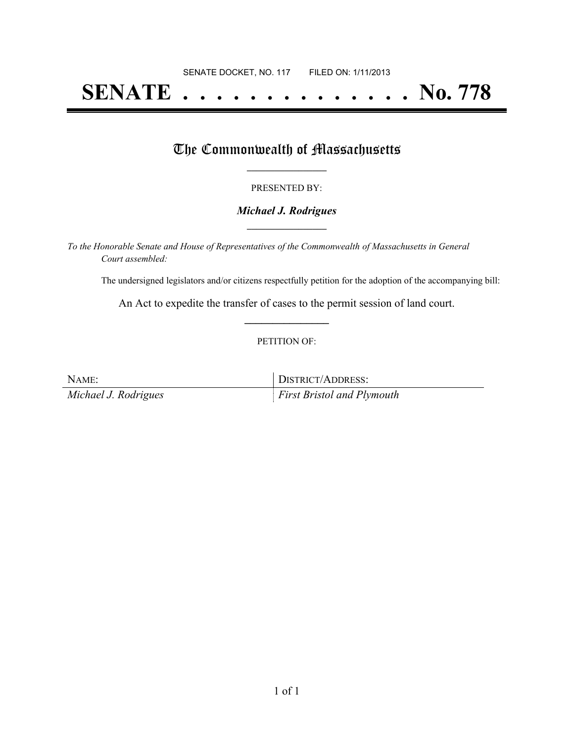# **SENATE . . . . . . . . . . . . . . No. 778**

## The Commonwealth of Massachusetts

#### PRESENTED BY:

#### *Michael J. Rodrigues* **\_\_\_\_\_\_\_\_\_\_\_\_\_\_\_\_\_**

*To the Honorable Senate and House of Representatives of the Commonwealth of Massachusetts in General Court assembled:*

The undersigned legislators and/or citizens respectfully petition for the adoption of the accompanying bill:

An Act to expedite the transfer of cases to the permit session of land court. **\_\_\_\_\_\_\_\_\_\_\_\_\_\_\_**

#### PETITION OF:

| NAME:                | DISTRICT/ADDRESS:                 |
|----------------------|-----------------------------------|
| Michael J. Rodrigues | <i>First Bristol and Plymouth</i> |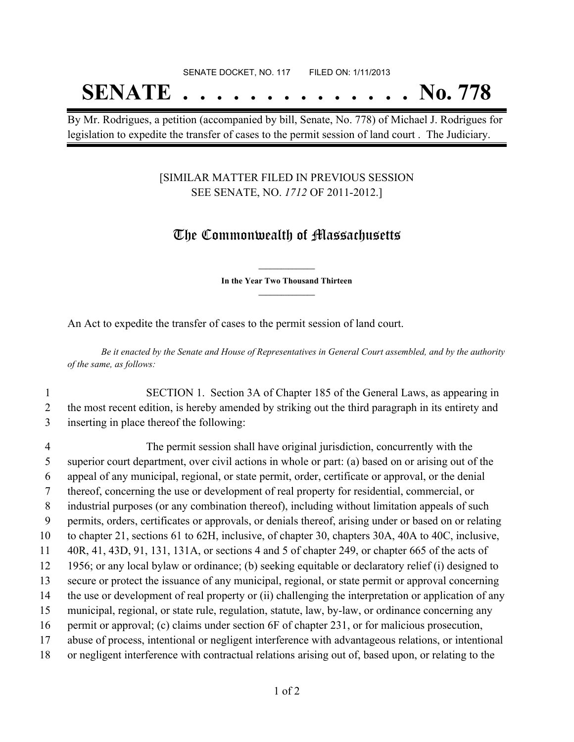## SENATE DOCKET, NO. 117 FILED ON: 1/11/2013 **SENATE . . . . . . . . . . . . . . No. 778**

By Mr. Rodrigues, a petition (accompanied by bill, Senate, No. 778) of Michael J. Rodrigues for legislation to expedite the transfer of cases to the permit session of land court . The Judiciary.

### [SIMILAR MATTER FILED IN PREVIOUS SESSION SEE SENATE, NO. *1712* OF 2011-2012.]

## The Commonwealth of Massachusetts

**\_\_\_\_\_\_\_\_\_\_\_\_\_\_\_ In the Year Two Thousand Thirteen \_\_\_\_\_\_\_\_\_\_\_\_\_\_\_**

An Act to expedite the transfer of cases to the permit session of land court.

Be it enacted by the Senate and House of Representatives in General Court assembled, and by the authority *of the same, as follows:*

- 1 SECTION 1. Section 3A of Chapter 185 of the General Laws, as appearing in 2 the most recent edition, is hereby amended by striking out the third paragraph in its entirety and 3 inserting in place thereof the following:
- 4 The permit session shall have original jurisdiction, concurrently with the 5 superior court department, over civil actions in whole or part: (a) based on or arising out of the 6 appeal of any municipal, regional, or state permit, order, certificate or approval, or the denial 7 thereof, concerning the use or development of real property for residential, commercial, or 8 industrial purposes (or any combination thereof), including without limitation appeals of such 9 permits, orders, certificates or approvals, or denials thereof, arising under or based on or relating 10 to chapter 21, sections 61 to 62H, inclusive, of chapter 30, chapters 30A, 40A to 40C, inclusive, 11 40R, 41, 43D, 91, 131, 131A, or sections 4 and 5 of chapter 249, or chapter 665 of the acts of 12 1956; or any local bylaw or ordinance; (b) seeking equitable or declaratory relief (i) designed to 13 secure or protect the issuance of any municipal, regional, or state permit or approval concerning 14 the use or development of real property or (ii) challenging the interpretation or application of any 15 municipal, regional, or state rule, regulation, statute, law, by-law, or ordinance concerning any 16 permit or approval; (c) claims under section 6F of chapter 231, or for malicious prosecution, 17 abuse of process, intentional or negligent interference with advantageous relations, or intentional 18 or negligent interference with contractual relations arising out of, based upon, or relating to the